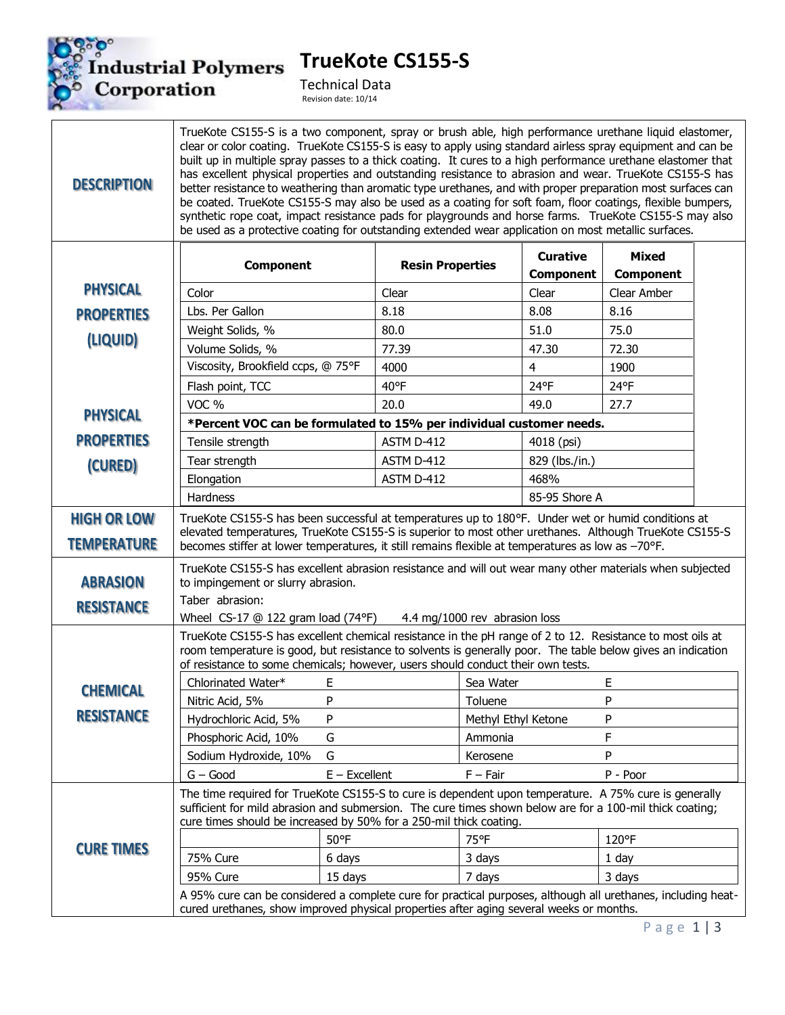

**TrueKote CS155-S**

Technical Data Revision date: 10/14

## **DESCRIPTION**

TrueKote CS155-S is a two component, spray or brush able, high performance urethane liquid elastomer, clear or color coating. TrueKote CS155-S is easy to apply using standard airless spray equipment and can be built up in multiple spray passes to a thick coating. It cures to a high performance urethane elastomer that has excellent physical properties and outstanding resistance to abrasion and wear. TrueKote CS155-S has better resistance to weathering than aromatic type urethanes, and with proper preparation most surfaces can be coated. TrueKote CS155-S may also be used as a coating for soft foam, floor coatings, flexible bumpers, synthetic rope coat, impact resistance pads for playgrounds and horse farms. TrueKote CS155-S may also be used as a protective coating for outstanding extended wear application on most metallic surfaces.

|                                      | <b>Component</b>                                                                                                                                                                                                                                                                                            |                 | <b>Resin Properties</b> |                     | <b>Curative</b><br><b>Component</b> | <b>Mixed</b><br><b>Component</b> |  |
|--------------------------------------|-------------------------------------------------------------------------------------------------------------------------------------------------------------------------------------------------------------------------------------------------------------------------------------------------------------|-----------------|-------------------------|---------------------|-------------------------------------|----------------------------------|--|
| <b>PHYSICAL</b>                      | Color                                                                                                                                                                                                                                                                                                       |                 | Clear                   |                     | Clear                               | Clear Amber                      |  |
| <b>PROPERTIES</b>                    | Lbs. Per Gallon                                                                                                                                                                                                                                                                                             |                 | 8.18                    |                     | 8.08                                | 8.16                             |  |
| (LIQUID)                             | Weight Solids, %                                                                                                                                                                                                                                                                                            |                 | 80.0                    |                     | 51.0                                | 75.0                             |  |
|                                      | Volume Solids, %                                                                                                                                                                                                                                                                                            |                 | 77.39                   |                     | 47.30                               | 72.30                            |  |
|                                      | Viscosity, Brookfield ccps, @ 75°F                                                                                                                                                                                                                                                                          |                 | 4000                    |                     | 4                                   | 1900                             |  |
|                                      | Flash point, TCC                                                                                                                                                                                                                                                                                            |                 | $40^{\circ}F$           |                     | 24°F                                | 24°F                             |  |
| <b>PHYSICAL</b>                      | VOC <sub>%</sub>                                                                                                                                                                                                                                                                                            |                 | 20.0                    |                     | 49.0                                | 27.7                             |  |
|                                      | *Percent VOC can be formulated to 15% per individual customer needs.                                                                                                                                                                                                                                        |                 |                         |                     |                                     |                                  |  |
| <b>PROPERTIES</b>                    | Tensile strength                                                                                                                                                                                                                                                                                            |                 | ASTM D-412              |                     | 4018 (psi)                          |                                  |  |
| (CURED)                              | Tear strength                                                                                                                                                                                                                                                                                               |                 | ASTM D-412              |                     | 829 (lbs./in.)                      |                                  |  |
|                                      | Elongation                                                                                                                                                                                                                                                                                                  |                 | ASTM D-412              |                     | 468%                                |                                  |  |
|                                      | Hardness                                                                                                                                                                                                                                                                                                    |                 |                         |                     | 85-95 Shore A                       |                                  |  |
| <b>HIGH OR LOW</b>                   | TrueKote CS155-S has been successful at temperatures up to 180°F. Under wet or humid conditions at<br>elevated temperatures, TrueKote CS155-S is superior to most other urethanes. Although TrueKote CS155-S                                                                                                |                 |                         |                     |                                     |                                  |  |
| <b>TEMPERATURE</b>                   | becomes stiffer at lower temperatures, it still remains flexible at temperatures as low as -70°F.                                                                                                                                                                                                           |                 |                         |                     |                                     |                                  |  |
| <b>ABRASION</b><br><b>RESISTANCE</b> | TrueKote CS155-S has excellent abrasion resistance and will out wear many other materials when subjected<br>to impingement or slurry abrasion.<br>Taber abrasion:<br>Wheel $CS-17$ @ 122 gram load (74°F)<br>4.4 mg/1000 rev abrasion loss                                                                  |                 |                         |                     |                                     |                                  |  |
|                                      | TrueKote CS155-S has excellent chemical resistance in the pH range of 2 to 12. Resistance to most oils at<br>room temperature is good, but resistance to solvents is generally poor. The table below gives an indication<br>of resistance to some chemicals; however, users should conduct their own tests. |                 |                         |                     |                                     |                                  |  |
| <b>CHEMICAL</b>                      | Chlorinated Water*                                                                                                                                                                                                                                                                                          | E.              |                         | Sea Water           |                                     | E                                |  |
|                                      | Nitric Acid, 5%                                                                                                                                                                                                                                                                                             | P               |                         | Toluene             |                                     | ${\sf P}$                        |  |
| <b>RESISTANCE</b>                    | Hydrochloric Acid, 5%                                                                                                                                                                                                                                                                                       | P               |                         | Methyl Ethyl Ketone |                                     | P                                |  |
|                                      | Phosphoric Acid, 10%                                                                                                                                                                                                                                                                                        | G               |                         | Ammonia             |                                     | $\mathsf F$                      |  |
|                                      | Sodium Hydroxide, 10%                                                                                                                                                                                                                                                                                       | G               |                         | Kerosene            |                                     | P                                |  |
|                                      | $G - Good$                                                                                                                                                                                                                                                                                                  | $E - Excellent$ |                         | $F - Fair$          |                                     | P - Poor                         |  |
|                                      | The time required for TrueKote CS155-S to cure is dependent upon temperature. A 75% cure is generally<br>sufficient for mild abrasion and submersion. The cure times shown below are for a 100-mil thick coating;<br>cure times should be increased by 50% for a 250-mil thick coating.                     |                 |                         |                     |                                     |                                  |  |
| <b>CURE TIMES</b>                    |                                                                                                                                                                                                                                                                                                             | 50°F            |                         | 75°F                |                                     | 120°F                            |  |
|                                      | 75% Cure                                                                                                                                                                                                                                                                                                    | 6 days          |                         | 3 days              |                                     | 1 day                            |  |
|                                      | 95% Cure                                                                                                                                                                                                                                                                                                    | 15 days         |                         | 7 days              |                                     | 3 days                           |  |
|                                      | A 95% cure can be considered a complete cure for practical purposes, although all urethanes, including heat-<br>cured urethanes, show improved physical properties after aging several weeks or months.                                                                                                     |                 |                         |                     |                                     |                                  |  |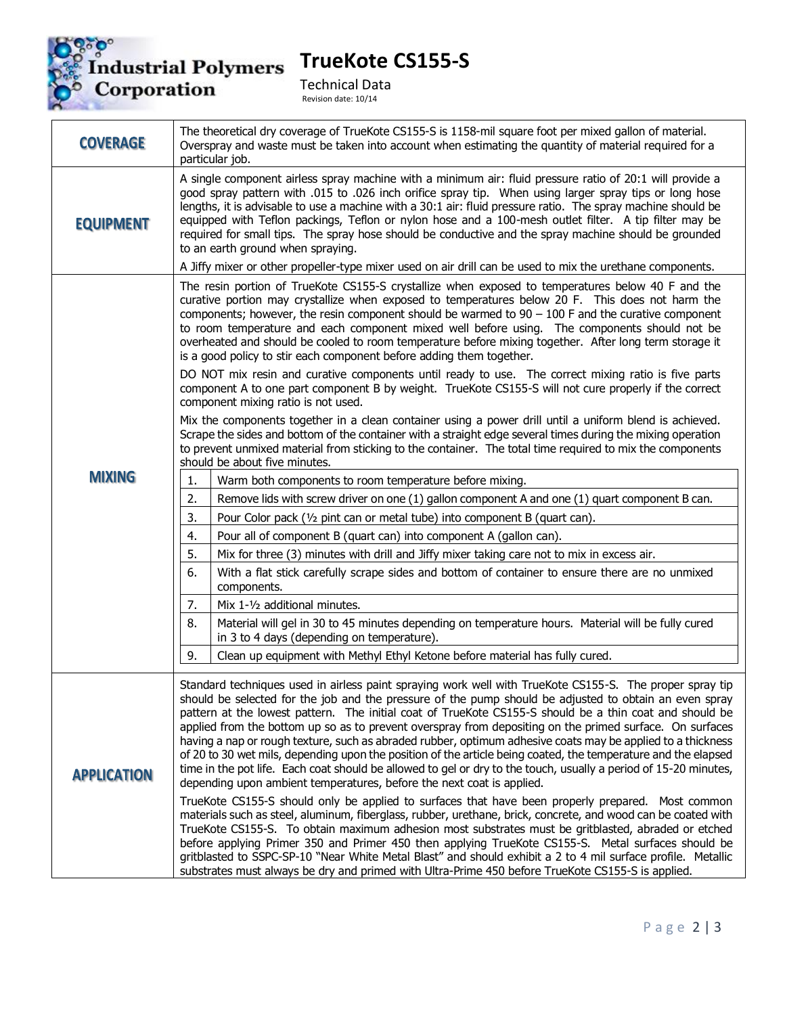

**TrueKote CS155-S**

Technical Data Revision date: 10/14

| <b>COVERAGE</b>    | The theoretical dry coverage of TrueKote CS155-S is 1158-mil square foot per mixed gallon of material.<br>Overspray and waste must be taken into account when estimating the quantity of material required for a<br>particular job.                                                                                                                                                                                                                                                                                                                                                                                                                                                                                                                                                                                                                                                                                                                                                                                                                                                           |  |  |  |  |
|--------------------|-----------------------------------------------------------------------------------------------------------------------------------------------------------------------------------------------------------------------------------------------------------------------------------------------------------------------------------------------------------------------------------------------------------------------------------------------------------------------------------------------------------------------------------------------------------------------------------------------------------------------------------------------------------------------------------------------------------------------------------------------------------------------------------------------------------------------------------------------------------------------------------------------------------------------------------------------------------------------------------------------------------------------------------------------------------------------------------------------|--|--|--|--|
| <b>EQUIPMENT</b>   | A single component airless spray machine with a minimum air: fluid pressure ratio of 20:1 will provide a<br>good spray pattern with .015 to .026 inch orifice spray tip. When using larger spray tips or long hose<br>lengths, it is advisable to use a machine with a 30:1 air: fluid pressure ratio. The spray machine should be<br>equipped with Teflon packings, Teflon or nylon hose and a 100-mesh outlet filter. A tip filter may be<br>required for small tips. The spray hose should be conductive and the spray machine should be grounded<br>to an earth ground when spraying.                                                                                                                                                                                                                                                                                                                                                                                                                                                                                                     |  |  |  |  |
|                    | A Jiffy mixer or other propeller-type mixer used on air drill can be used to mix the urethane components.                                                                                                                                                                                                                                                                                                                                                                                                                                                                                                                                                                                                                                                                                                                                                                                                                                                                                                                                                                                     |  |  |  |  |
| <b>MIXING</b>      | The resin portion of TrueKote CS155-S crystallize when exposed to temperatures below 40 F and the<br>curative portion may crystallize when exposed to temperatures below 20 F. This does not harm the<br>components; however, the resin component should be warmed to $90 - 100$ F and the curative component<br>to room temperature and each component mixed well before using. The components should not be<br>overheated and should be cooled to room temperature before mixing together. After long term storage it<br>is a good policy to stir each component before adding them together.<br>DO NOT mix resin and curative components until ready to use. The correct mixing ratio is five parts<br>component A to one part component B by weight. TrueKote CS155-S will not cure properly if the correct                                                                                                                                                                                                                                                                               |  |  |  |  |
|                    | component mixing ratio is not used.<br>Mix the components together in a clean container using a power drill until a uniform blend is achieved.<br>Scrape the sides and bottom of the container with a straight edge several times during the mixing operation<br>to prevent unmixed material from sticking to the container. The total time required to mix the components<br>should be about five minutes.                                                                                                                                                                                                                                                                                                                                                                                                                                                                                                                                                                                                                                                                                   |  |  |  |  |
|                    | 1.<br>Warm both components to room temperature before mixing.                                                                                                                                                                                                                                                                                                                                                                                                                                                                                                                                                                                                                                                                                                                                                                                                                                                                                                                                                                                                                                 |  |  |  |  |
|                    | 2.<br>Remove lids with screw driver on one (1) gallon component A and one (1) quart component B can.                                                                                                                                                                                                                                                                                                                                                                                                                                                                                                                                                                                                                                                                                                                                                                                                                                                                                                                                                                                          |  |  |  |  |
|                    | 3.<br>Pour Color pack (1/2 pint can or metal tube) into component B (quart can).                                                                                                                                                                                                                                                                                                                                                                                                                                                                                                                                                                                                                                                                                                                                                                                                                                                                                                                                                                                                              |  |  |  |  |
|                    | 4.<br>Pour all of component B (quart can) into component A (gallon can).                                                                                                                                                                                                                                                                                                                                                                                                                                                                                                                                                                                                                                                                                                                                                                                                                                                                                                                                                                                                                      |  |  |  |  |
|                    | 5.<br>Mix for three (3) minutes with drill and Jiffy mixer taking care not to mix in excess air.                                                                                                                                                                                                                                                                                                                                                                                                                                                                                                                                                                                                                                                                                                                                                                                                                                                                                                                                                                                              |  |  |  |  |
|                    | With a flat stick carefully scrape sides and bottom of container to ensure there are no unmixed<br>6.<br>components.                                                                                                                                                                                                                                                                                                                                                                                                                                                                                                                                                                                                                                                                                                                                                                                                                                                                                                                                                                          |  |  |  |  |
|                    | Mix 1-1/2 additional minutes.<br>7.                                                                                                                                                                                                                                                                                                                                                                                                                                                                                                                                                                                                                                                                                                                                                                                                                                                                                                                                                                                                                                                           |  |  |  |  |
|                    | 8.<br>Material will gel in 30 to 45 minutes depending on temperature hours. Material will be fully cured<br>in 3 to 4 days (depending on temperature).                                                                                                                                                                                                                                                                                                                                                                                                                                                                                                                                                                                                                                                                                                                                                                                                                                                                                                                                        |  |  |  |  |
|                    | 9.<br>Clean up equipment with Methyl Ethyl Ketone before material has fully cured.                                                                                                                                                                                                                                                                                                                                                                                                                                                                                                                                                                                                                                                                                                                                                                                                                                                                                                                                                                                                            |  |  |  |  |
| <b>APPLICATION</b> | Standard techniques used in airless paint spraying work well with TrueKote CS155-S. The proper spray tip<br>should be selected for the job and the pressure of the pump should be adjusted to obtain an even spray<br>pattern at the lowest pattern. The initial coat of TrueKote CS155-S should be a thin coat and should be<br>applied from the bottom up so as to prevent overspray from depositing on the primed surface. On surfaces<br>having a nap or rough texture, such as abraded rubber, optimum adhesive coats may be applied to a thickness<br>of 20 to 30 wet mils, depending upon the position of the article being coated, the temperature and the elapsed<br>time in the pot life. Each coat should be allowed to gel or dry to the touch, usually a period of 15-20 minutes,<br>depending upon ambient temperatures, before the next coat is applied.<br>TrueKote CS155-S should only be applied to surfaces that have been properly prepared. Most common<br>materials such as steel, aluminum, fiberglass, rubber, urethane, brick, concrete, and wood can be coated with |  |  |  |  |
|                    | TrueKote CS155-S. To obtain maximum adhesion most substrates must be gritblasted, abraded or etched<br>before applying Primer 350 and Primer 450 then applying TrueKote CS155-S. Metal surfaces should be<br>gritblasted to SSPC-SP-10 "Near White Metal Blast" and should exhibit a 2 to 4 mil surface profile. Metallic<br>substrates must always be dry and primed with Ultra-Prime 450 before TrueKote CS155-S is applied.                                                                                                                                                                                                                                                                                                                                                                                                                                                                                                                                                                                                                                                                |  |  |  |  |